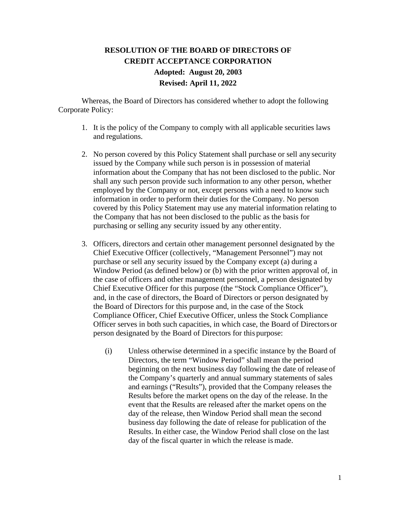## **RESOLUTION OF THE BOARD OF DIRECTORS OF CREDIT ACCEPTANCE CORPORATION Adopted: August 20, 2003 Revised: April 11, 2022**

Whereas, the Board of Directors has considered whether to adopt the following Corporate Policy:

- 1. It is the policy of the Company to comply with all applicable securities laws and regulations.
- 2. No person covered by this Policy Statement shall purchase or sell any security issued by the Company while such person is in possession of material information about the Company that has not been disclosed to the public. Nor shall any such person provide such information to any other person, whether employed by the Company or not, except persons with a need to know such information in order to perform their duties for the Company. No person covered by this Policy Statement may use any material information relating to the Company that has not been disclosed to the public as the basis for purchasing or selling any security issued by any other entity.
- 3. Officers, directors and certain other management personnel designated by the Chief Executive Officer (collectively, "Management Personnel") may not purchase or sell any security issued by the Company except (a) during a Window Period (as defined below) or (b) with the prior written approval of, in the case of officers and other management personnel, a person designated by Chief Executive Officer for this purpose (the "Stock Compliance Officer"), and, in the case of directors, the Board of Directors or person designated by the Board of Directors for this purpose and, in the case of the Stock Compliance Officer, Chief Executive Officer, unless the Stock Compliance Officer serves in both such capacities, in which case, the Board of Directors or person designated by the Board of Directors for this purpose:
	- (i) Unless otherwise determined in a specific instance by the Board of Directors, the term "Window Period" shall mean the period beginning on the next business day following the date of release of the Company's quarterly and annual summary statements of sales and earnings ("Results"), provided that the Company releases the Results before the market opens on the day of the release. In the event that the Results are released after the market opens on the day of the release, then Window Period shall mean the second business day following the date of release for publication of the Results. In either case, the Window Period shall close on the last day of the fiscal quarter in which the release is made.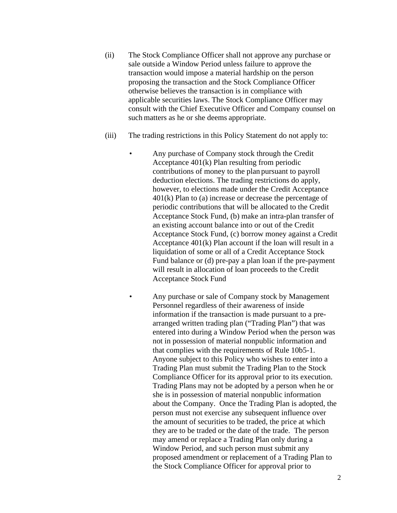- (ii) The Stock Compliance Officer shall not approve any purchase or sale outside a Window Period unless failure to approve the transaction would impose a material hardship on the person proposing the transaction and the Stock Compliance Officer otherwise believes the transaction is in compliance with applicable securities laws. The Stock Compliance Officer may consult with the Chief Executive Officer and Company counsel on such matters as he or she deems appropriate.
- (iii) The trading restrictions in this Policy Statement do not apply to:
	- Any purchase of Company stock through the Credit Acceptance 401(k) Plan resulting from periodic contributions of money to the plan pursuant to payroll deduction elections. The trading restrictions do apply, however, to elections made under the Credit Acceptance 401(k) Plan to (a) increase or decrease the percentage of periodic contributions that will be allocated to the Credit Acceptance Stock Fund, (b) make an intra-plan transfer of an existing account balance into or out of the Credit Acceptance Stock Fund, (c) borrow money against a Credit Acceptance 401(k) Plan account if the loan will result in a liquidation of some or all of a Credit Acceptance Stock Fund balance or (d) pre-pay a plan loan if the pre-payment will result in allocation of loan proceeds to the Credit Acceptance Stock Fund
	- Any purchase or sale of Company stock by Management Personnel regardless of their awareness of inside information if the transaction is made pursuant to a prearranged written trading plan ("Trading Plan") that was entered into during a Window Period when the person was not in possession of material nonpublic information and that complies with the requirements of Rule 10b5-1. Anyone subject to this Policy who wishes to enter into a Trading Plan must submit the Trading Plan to the Stock Compliance Officer for its approval prior to its execution. Trading Plans may not be adopted by a person when he or she is in possession of material nonpublic information about the Company. Once the Trading Plan is adopted, the person must not exercise any subsequent influence over the amount of securities to be traded, the price at which they are to be traded or the date of the trade. The person may amend or replace a Trading Plan only during a Window Period, and such person must submit any proposed amendment or replacement of a Trading Plan to the Stock Compliance Officer for approval prior to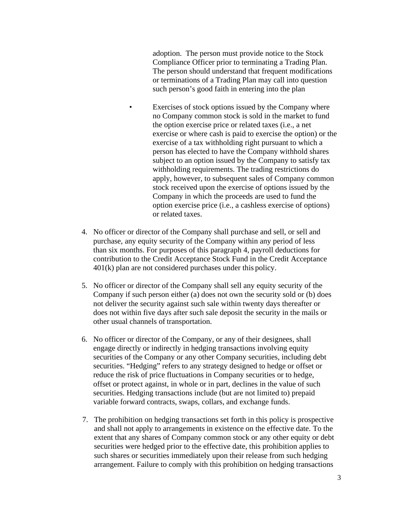adoption. The person must provide notice to the Stock Compliance Officer prior to terminating a Trading Plan. The person should understand that frequent modifications or terminations of a Trading Plan may call into question such person's good faith in entering into the plan

- Exercises of stock options issued by the Company where no Company common stock is sold in the market to fund the option exercise price or related taxes (i.e., a net exercise or where cash is paid to exercise the option) or the exercise of a tax withholding right pursuant to which a person has elected to have the Company withhold shares subject to an option issued by the Company to satisfy tax withholding requirements. The trading restrictions do apply, however, to subsequent sales of Company common stock received upon the exercise of options issued by the Company in which the proceeds are used to fund the option exercise price (i.e., a cashless exercise of options) or related taxes.
- 4. No officer or director of the Company shall purchase and sell, or sell and purchase, any equity security of the Company within any period of less than six months. For purposes of this paragraph 4, payroll deductions for contribution to the Credit Acceptance Stock Fund in the Credit Acceptance 401(k) plan are not considered purchases under this policy.
- 5. No officer or director of the Company shall sell any equity security of the Company if such person either (a) does not own the security sold or (b) does not deliver the security against such sale within twenty days thereafter or does not within five days after such sale deposit the security in the mails or other usual channels of transportation.
- 6. No officer or director of the Company, or any of their designees, shall engage directly or indirectly in hedging transactions involving equity securities of the Company or any other Company securities, including debt securities. "Hedging" refers to any strategy designed to hedge or offset or reduce the risk of price fluctuations in Company securities or to hedge, offset or protect against, in whole or in part, declines in the value of such securities. Hedging transactions include (but are not limited to) prepaid variable forward contracts, swaps, collars, and exchange funds.
- 7. The prohibition on hedging transactions set forth in this policy is prospective and shall not apply to arrangements in existence on the effective date. To the extent that any shares of Company common stock or any other equity or debt securities were hedged prior to the effective date, this prohibition applies to such shares or securities immediately upon their release from such hedging arrangement. Failure to comply with this prohibition on hedging transactions